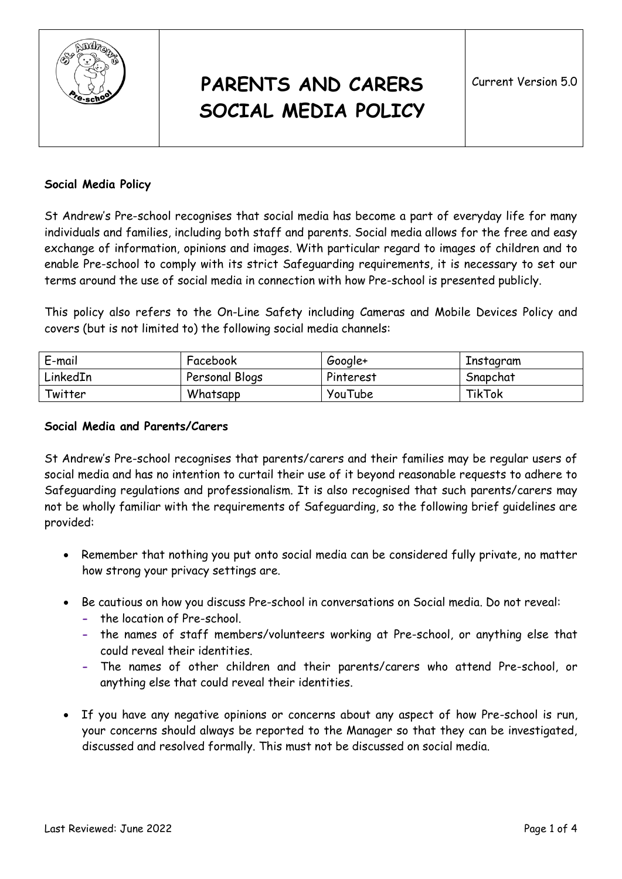

# **PARENTS AND CARERS SOCIAL MEDIA POLICY**

#### **Social Media Policy**

St Andrew's Pre-school recognises that social media has become a part of everyday life for many individuals and families, including both staff and parents. Social media allows for the free and easy exchange of information, opinions and images. With particular regard to images of children and to enable Pre-school to comply with its strict Safeguarding requirements, it is necessary to set our terms around the use of social media in connection with how Pre-school is presented publicly.

This policy also refers to the On-Line Safety including Cameras and Mobile Devices Policy and covers (but is not limited to) the following social media channels:

| E-mail   | Facebook       | Google+   | Instagram |
|----------|----------------|-----------|-----------|
| LinkedIn | Personal Blogs | Pinterest | Snapchat  |
| Twitter  | Whatsapp       | YouTube   | TikTok    |

#### **Social Media and Parents/Carers**

St Andrew's Pre-school recognises that parents/carers and their families may be regular users of social media and has no intention to curtail their use of it beyond reasonable requests to adhere to Safeguarding regulations and professionalism. It is also recognised that such parents/carers may not be wholly familiar with the requirements of Safeguarding, so the following brief guidelines are provided:

- Remember that nothing you put onto social media can be considered fully private, no matter how strong your privacy settings are.
- Be cautious on how you discuss Pre-school in conversations on Social media. Do not reveal:
	- **-** the location of Pre-school.
	- **-** the names of staff members/volunteers working at Pre-school, or anything else that could reveal their identities.
	- **-** The names of other children and their parents/carers who attend Pre-school, or anything else that could reveal their identities.
- If you have any negative opinions or concerns about any aspect of how Pre-school is run, your concerns should always be reported to the Manager so that they can be investigated, discussed and resolved formally. This must not be discussed on social media.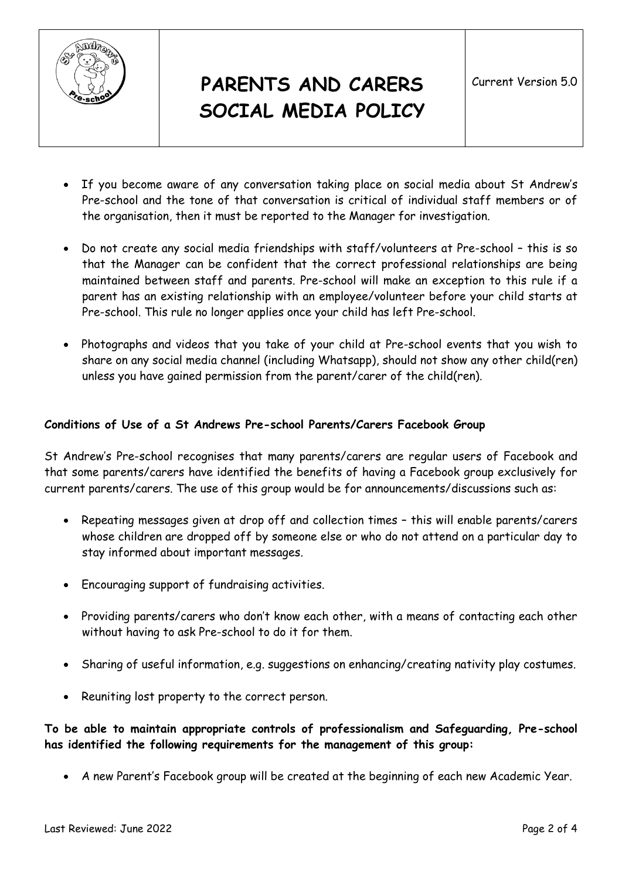

# **PARENTS AND CARERS SOCIAL MEDIA POLICY**

- If you become aware of any conversation taking place on social media about St Andrew's Pre-school and the tone of that conversation is critical of individual staff members or of the organisation, then it must be reported to the Manager for investigation.
- Do not create any social media friendships with staff/volunteers at Pre-school this is so that the Manager can be confident that the correct professional relationships are being maintained between staff and parents. Pre-school will make an exception to this rule if a parent has an existing relationship with an employee/volunteer before your child starts at Pre-school. This rule no longer applies once your child has left Pre-school.
- Photographs and videos that you take of your child at Pre-school events that you wish to share on any social media channel (including Whatsapp), should not show any other child(ren) unless you have gained permission from the parent/carer of the child(ren).

### **Conditions of Use of a St Andrews Pre-school Parents/Carers Facebook Group**

St Andrew's Pre-school recognises that many parents/carers are regular users of Facebook and that some parents/carers have identified the benefits of having a Facebook group exclusively for current parents/carers. The use of this group would be for announcements/discussions such as:

- Repeating messages given at drop off and collection times this will enable parents/carers whose children are dropped off by someone else or who do not attend on a particular day to stay informed about important messages.
- Encouraging support of fundraising activities.
- Providing parents/carers who don't know each other, with a means of contacting each other without having to ask Pre-school to do it for them.
- Sharing of useful information, e.g. suggestions on enhancing/creating nativity play costumes.
- Reuniting lost property to the correct person.

**To be able to maintain appropriate controls of professionalism and Safeguarding, Pre-school has identified the following requirements for the management of this group:** 

A new Parent's Facebook group will be created at the beginning of each new Academic Year.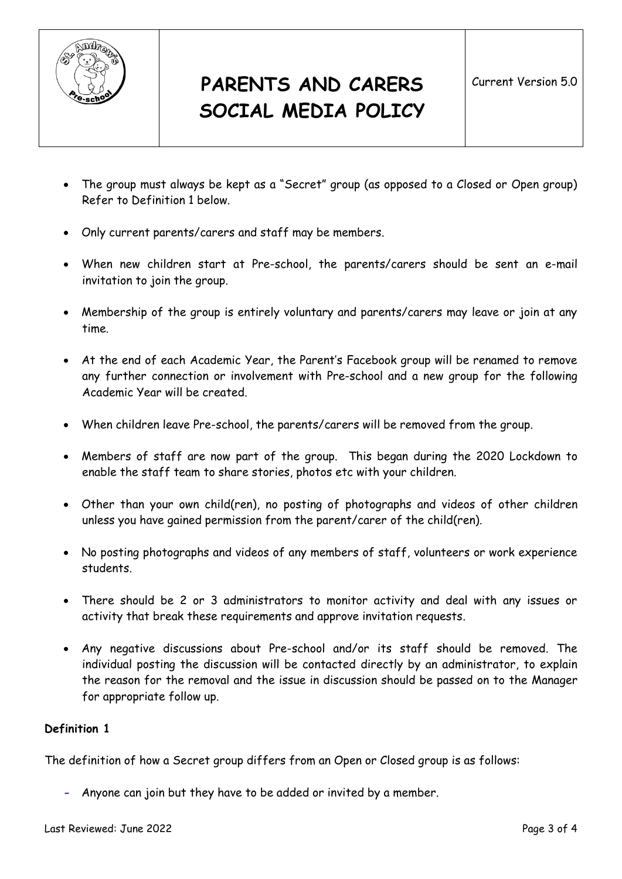

- The group must always be kept as a "Secret" group (as opposed to a Closed or Open group) Refer to Definition 1 below.
- Only current parents/carers and staff may be members.
- When new children start at Pre-school, the parents/carers should be sent an e-mail invitation to join the group.
- Membership of the group is entirely voluntary and parents/carers may leave or join at any time.
- At the end of each Academic Year, the Parent's Facebook group will be renamed to remove any further connection or involvement with Pre-school and a new group for the following Academic Year will be created.
- When children leave Pre-school, the parents/carers will be removed from the group.
- Members of staff are now part of the group. This began during the 2020 Lockdown to enable the staff team to share stories, photos etc with your children.
- Other than your own child(ren), no posting of photographs and videos of other children unless you have gained permission from the parent/carer of the child(ren).
- No posting photographs and videos of any members of staff, volunteers or work experience students.
- There should be 2 or 3 administrators to monitor activity and deal with any issues or activity that break these requirements and approve invitation requests.
- Any negative discussions about Pre-school and/or its staff should be removed. The individual posting the discussion will be contacted directly by an administrator, to explain the reason for the removal and the issue in discussion should be passed on to the Manager for appropriate follow up.

### **Definition 1**

The definition of how a Secret group differs from an Open or Closed group is as follows:

**-** Anyone can join but they have to be added or invited by a member.